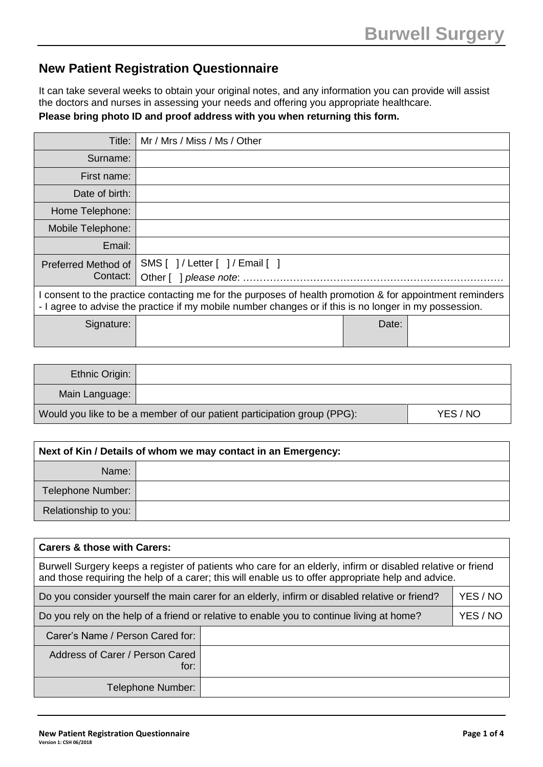## **New Patient Registration Questionnaire**

It can take several weeks to obtain your original notes, and any information you can provide will assist the doctors and nurses in assessing your needs and offering you appropriate healthcare.

|  |  | Please bring photo ID and proof address with you when returning this form. |
|--|--|----------------------------------------------------------------------------|
|--|--|----------------------------------------------------------------------------|

| Title:                                                                                                                                                                                                           | Mr / Mrs / Miss / Ms / Other   |       |  |
|------------------------------------------------------------------------------------------------------------------------------------------------------------------------------------------------------------------|--------------------------------|-------|--|
| Surname:                                                                                                                                                                                                         |                                |       |  |
| First name:                                                                                                                                                                                                      |                                |       |  |
| Date of birth:                                                                                                                                                                                                   |                                |       |  |
| Home Telephone:                                                                                                                                                                                                  |                                |       |  |
| Mobile Telephone:                                                                                                                                                                                                |                                |       |  |
| Email:                                                                                                                                                                                                           |                                |       |  |
| Preferred Method of<br>Contact:                                                                                                                                                                                  | SMS [ ]/ Letter [ ]/ Email [ ] |       |  |
| consent to the practice contacting me for the purposes of health promotion & for appointment reminders<br>- I agree to advise the practice if my mobile number changes or if this is no longer in my possession. |                                |       |  |
| Signature:                                                                                                                                                                                                       |                                | Date: |  |

| Ethnic Origin:                                                          |  |          |
|-------------------------------------------------------------------------|--|----------|
| Main Language:                                                          |  |          |
| Would you like to be a member of our patient participation group (PPG): |  | YES / NO |

| Next of Kin / Details of whom we may contact in an Emergency: |  |  |
|---------------------------------------------------------------|--|--|
| Name:                                                         |  |  |
| Telephone Number:                                             |  |  |
| Relationship to you:                                          |  |  |

| Carers & those with Carers:                                                                                                                                                                                       |                                                                                                            |  |  |  |
|-------------------------------------------------------------------------------------------------------------------------------------------------------------------------------------------------------------------|------------------------------------------------------------------------------------------------------------|--|--|--|
| Burwell Surgery keeps a register of patients who care for an elderly, infirm or disabled relative or friend<br>and those requiring the help of a carer; this will enable us to offer appropriate help and advice. |                                                                                                            |  |  |  |
|                                                                                                                                                                                                                   | YES / NO<br>Do you consider yourself the main carer for an elderly, infirm or disabled relative or friend? |  |  |  |
| YES / NO<br>Do you rely on the help of a friend or relative to enable you to continue living at home?                                                                                                             |                                                                                                            |  |  |  |
| Carer's Name / Person Cared for:                                                                                                                                                                                  |                                                                                                            |  |  |  |
| Address of Carer / Person Cared<br>for:                                                                                                                                                                           |                                                                                                            |  |  |  |
| Telephone Number:                                                                                                                                                                                                 |                                                                                                            |  |  |  |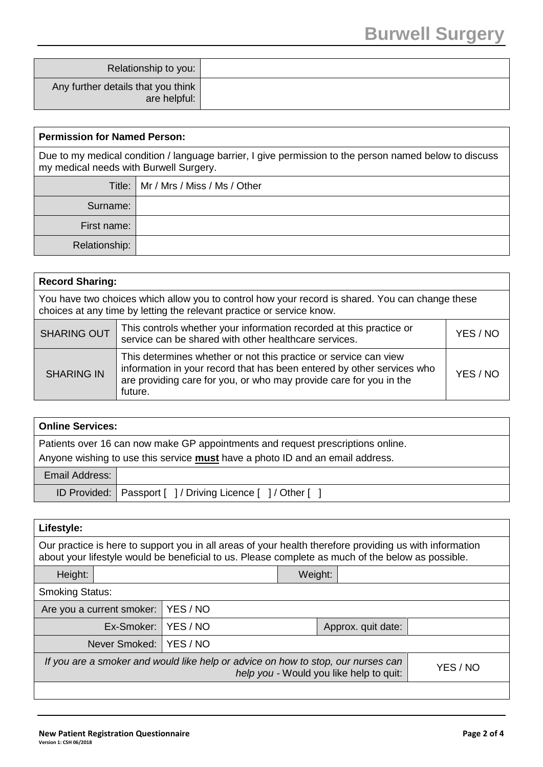| Relationship to you:                               |  |
|----------------------------------------------------|--|
| Any further details that you think<br>are helpful: |  |

| <b>Permission for Named Person:</b>                                                                                                              |                                       |  |
|--------------------------------------------------------------------------------------------------------------------------------------------------|---------------------------------------|--|
| Due to my medical condition / language barrier, I give permission to the person named below to discuss<br>my medical needs with Burwell Surgery. |                                       |  |
|                                                                                                                                                  | Title:   Mr / Mrs / Miss / Ms / Other |  |
| Surname:                                                                                                                                         |                                       |  |
| First name:                                                                                                                                      |                                       |  |
| Relationship:                                                                                                                                    |                                       |  |

|                                                                                                                                                                          | <b>Record Sharing:</b>                                                                                                                                                                                                      |          |  |
|--------------------------------------------------------------------------------------------------------------------------------------------------------------------------|-----------------------------------------------------------------------------------------------------------------------------------------------------------------------------------------------------------------------------|----------|--|
| You have two choices which allow you to control how your record is shared. You can change these<br>choices at any time by letting the relevant practice or service know. |                                                                                                                                                                                                                             |          |  |
| <b>SHARING OUT</b>                                                                                                                                                       | This controls whether your information recorded at this practice or<br>service can be shared with other healthcare services.                                                                                                | YES / NO |  |
| <b>SHARING IN</b>                                                                                                                                                        | This determines whether or not this practice or service can view<br>information in your record that has been entered by other services who<br>are providing care for you, or who may provide care for you in the<br>future. | YES / NO |  |

| <b>Online Services:</b> |                                                                                                                                                                         |  |
|-------------------------|-------------------------------------------------------------------------------------------------------------------------------------------------------------------------|--|
|                         | Patients over 16 can now make GP appointments and request prescriptions online.<br>Anyone wishing to use this service <b>must</b> have a photo ID and an email address. |  |
| Email Address:          |                                                                                                                                                                         |  |
|                         | ID Provided:   Passport [ ] / Driving Licence [ ] / Other [ ]                                                                                                           |  |

| Lifestyle:                                                                                                                                                                                                   |                             |                                |          |  |  |  |
|--------------------------------------------------------------------------------------------------------------------------------------------------------------------------------------------------------------|-----------------------------|--------------------------------|----------|--|--|--|
| Our practice is here to support you in all areas of your health therefore providing us with information<br>about your lifestyle would be beneficial to us. Please complete as much of the below as possible. |                             |                                |          |  |  |  |
| Height:                                                                                                                                                                                                      |                             |                                | Weight:  |  |  |  |
| <b>Smoking Status:</b>                                                                                                                                                                                       |                             |                                |          |  |  |  |
|                                                                                                                                                                                                              | Are you a current smoker:   | YES / NO                       |          |  |  |  |
|                                                                                                                                                                                                              | Ex-Smoker:                  | YES / NO<br>Approx. quit date: |          |  |  |  |
|                                                                                                                                                                                                              | Never Smoked: I<br>YES / NO |                                |          |  |  |  |
| If you are a smoker and would like help or advice on how to stop, our nurses can<br>help you - Would you like help to quit:                                                                                  |                             |                                | YES / NO |  |  |  |
|                                                                                                                                                                                                              |                             |                                |          |  |  |  |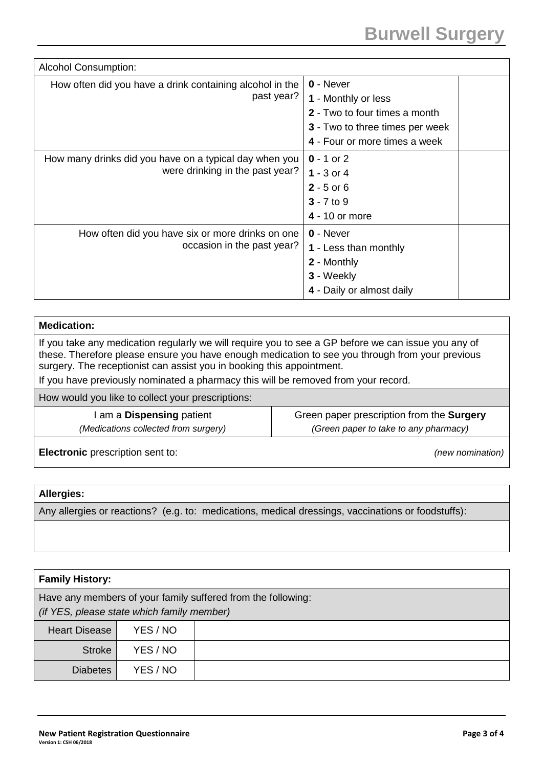| <b>Alcohol Consumption:</b>                              |                                 |
|----------------------------------------------------------|---------------------------------|
| How often did you have a drink containing alcohol in the | $0 -$ Never                     |
| past year?                                               | 1 - Monthly or less             |
|                                                          | 2 - Two to four times a month   |
|                                                          | 3 - Two to three times per week |
|                                                          | 4 - Four or more times a week   |
| How many drinks did you have on a typical day when you   | $0 - 1$ or 2                    |
| were drinking in the past year?                          | 1 - $3$ or $4$                  |
|                                                          | $2 - 5$ or 6                    |
|                                                          | $3 - 7$ to 9                    |
|                                                          | 4 - 10 or more                  |
| How often did you have six or more drinks on one         | $0 -$ Never                     |
| occasion in the past year?                               | 1 - Less than monthly           |
|                                                          | 2 - Monthly                     |
|                                                          | 3 - Weekly                      |
|                                                          | 4 - Daily or almost daily       |

| <b>Medication:</b>                                                                                                                                                                                                                                                                                                                                                    |                                           |  |
|-----------------------------------------------------------------------------------------------------------------------------------------------------------------------------------------------------------------------------------------------------------------------------------------------------------------------------------------------------------------------|-------------------------------------------|--|
| If you take any medication regularly we will require you to see a GP before we can issue you any of<br>these. Therefore please ensure you have enough medication to see you through from your previous<br>surgery. The receptionist can assist you in booking this appointment.<br>If you have previously nominated a pharmacy this will be removed from your record. |                                           |  |
| How would you like to collect your prescriptions:                                                                                                                                                                                                                                                                                                                     |                                           |  |
| am a Dispensing patient                                                                                                                                                                                                                                                                                                                                               | Green paper prescription from the Surgery |  |
| (Medications collected from surgery)                                                                                                                                                                                                                                                                                                                                  | (Green paper to take to any pharmacy)     |  |
| Electronic prescription sent to:                                                                                                                                                                                                                                                                                                                                      | (new nomination)                          |  |

## **Allergies:**

Any allergies or reactions? (e.g. to: medications, medical dressings, vaccinations or foodstuffs):

| <b>Family History:</b>                                                                                     |          |  |  |  |  |  |
|------------------------------------------------------------------------------------------------------------|----------|--|--|--|--|--|
| Have any members of your family suffered from the following:<br>(if YES, please state which family member) |          |  |  |  |  |  |
| <b>Heart Disease</b>                                                                                       | YES / NO |  |  |  |  |  |
| <b>Stroke</b>                                                                                              | YES / NO |  |  |  |  |  |
| <b>Diabetes</b>                                                                                            | YES / NO |  |  |  |  |  |